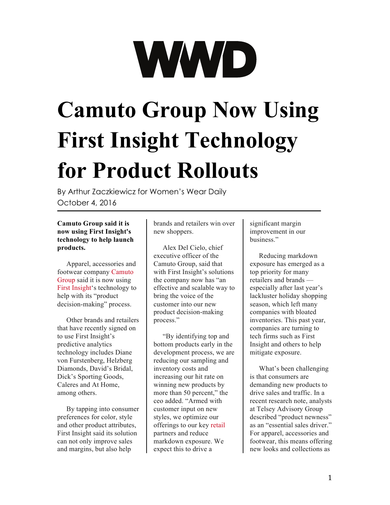# **Camuto Group Now Using First Insight Technology for Product Rollouts**

By Arthur Zaczkiewicz for Women's Wear Daily October 4, 2016

## **Camuto Group said it is now using First Insight's technology to help launch products.**

Apparel, accessories and footwear company [Camuto](http://wwd.com/accessories-news/footwear/camuto-group-launch-mercedes-castillo-footwear-rtw-and-jewelry-collection-10497212/)  [Group](http://wwd.com/accessories-news/footwear/camuto-group-launch-mercedes-castillo-footwear-rtw-and-jewelry-collection-10497212/) said it is now using [First Insight'](http://wwd.com/fashion-news/designer-luxury/dvf-partners-first-insight-technology-10489087/)s technology to help with its "product decision-making" process.

Other brands and retailers that have recently signed on to use First Insight's predictive analytics technology includes Diane von Furstenberg, Helzberg Diamonds, David's Bridal, Dick's Sporting Goods, Caleres and At Home, among others.

By tapping into consumer preferences for color, style and other product attributes, First Insight said its solution can not only improve sales and margins, but also help

brands and retailers win over new shoppers.

Alex Del Cielo, chief executive officer of the Camuto Group, said that with First Insight's solutions the company now has "an effective and scalable way to bring the voice of the customer into our new product decision-making process."

"By identifying top and bottom products early in the development process, we are reducing our sampling and inventory costs and increasing our hit rate on winning new products by more than 50 percent," the ceo added. "Armed with customer input on new styles, we optimize our offerings to our key [retail](http://wwd.com/tag/retail-2/) partners and reduce markdown exposure. We expect this to drive a

significant margin improvement in our business."

Reducing markdown exposure has emerged as a top priority for many retailers and brands especially after last year's lackluster holiday shopping season, which left many companies with bloated inventories. This past year, companies are turning to tech firms such as First Insight and others to help mitigate exposure.

What's been challenging is that consumers are demanding new products to drive sales and traffic. In a recent research note, analysts at Telsey Advisory Group described "product newness" as an "essential sales driver." For apparel, accessories and footwear, this means offering new looks and collections as